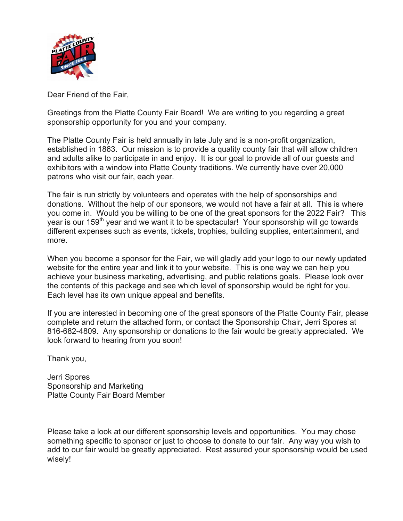

Dear Friend of the Fair,

Greetings from the Platte County Fair Board! We are writing to you regarding a great sponsorship opportunity for you and your company.

The Platte County Fair is held annually in late July and is a non-profit organization, established in 1863. Our mission is to provide a quality county fair that will allow children and adults alike to participate in and enjoy. It is our goal to provide all of our guests and exhibitors with a window into Platte County traditions. We currently have over 20,000 patrons who visit our fair, each year.

The fair is run strictly by volunteers and operates with the help of sponsorships and donations. Without the help of our sponsors, we would not have a fair at all. This is where you come in. Would you be willing to be one of the great sponsors for the 2022 Fair? This year is our 159<sup>th</sup> year and we want it to be spectacular! Your sponsorship will go towards different expenses such as events, tickets, trophies, building supplies, entertainment, and more.

When you become a sponsor for the Fair, we will gladly add your logo to our newly updated website for the entire year and link it to your website. This is one way we can help you achieve your business marketing, advertising, and public relations goals. Please look over the contents of this package and see which level of sponsorship would be right for you. Each level has its own unique appeal and benefits.

If you are interested in becoming one of the great sponsors of the Platte County Fair, please complete and return the attached form, or contact the Sponsorship Chair, Jerri Spores at 816-682-4809. Any sponsorship or donations to the fair would be greatly appreciated. We look forward to hearing from you soon!

Thank you,

Jerri Spores Sponsorship and Marketing Platte County Fair Board Member

Please take a look at our different sponsorship levels and opportunities. You may chose something specific to sponsor or just to choose to donate to our fair. Any way you wish to add to our fair would be greatly appreciated. Rest assured your sponsorship would be used wisely!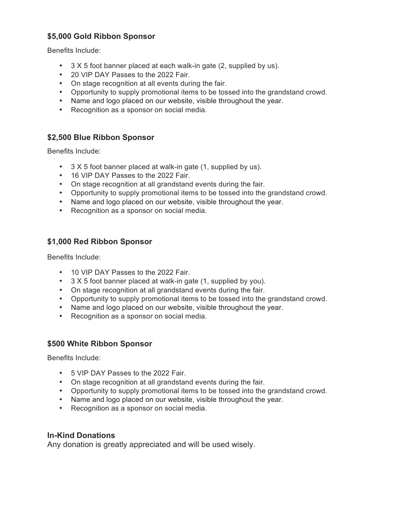# **\$5,000 Gold Ribbon Sponsor**

Benefits Include:

- 3 X 5 foot banner placed at each walk-in gate (2, supplied by us).
- 20 VIP DAY Passes to the 2022 Fair.
- On stage recognition at all events during the fair.
- Opportunity to supply promotional items to be tossed into the grandstand crowd.
- Name and logo placed on our website, visible throughout the year.
- Recognition as a sponsor on social media.

## **\$2,500 Blue Ribbon Sponsor**

Benefits Include:

- 3 X 5 foot banner placed at walk-in gate (1, supplied by us).
- 16 VIP DAY Passes to the 2022 Fair.
- On stage recognition at all grandstand events during the fair.
- Opportunity to supply promotional items to be tossed into the grandstand crowd.
- Name and logo placed on our website, visible throughout the year.
- Recognition as a sponsor on social media.

## **\$1,000 Red Ribbon Sponsor**

Benefits Include:

- 10 VIP DAY Passes to the 2022 Fair.
- 3 X 5 foot banner placed at walk-in gate (1, supplied by you).
- On stage recognition at all grandstand events during the fair.
- Opportunity to supply promotional items to be tossed into the grandstand crowd.
- Name and logo placed on our website, visible throughout the year.
- Recognition as a sponsor on social media.

#### **\$500 White Ribbon Sponsor**

Benefits Include:

- 5 VIP DAY Passes to the 2022 Fair.
- On stage recognition at all grandstand events during the fair.
- Opportunity to supply promotional items to be tossed into the grandstand crowd.
- Name and logo placed on our website, visible throughout the year.
- Recognition as a sponsor on social media.

#### **In-Kind Donations**

Any donation is greatly appreciated and will be used wisely.